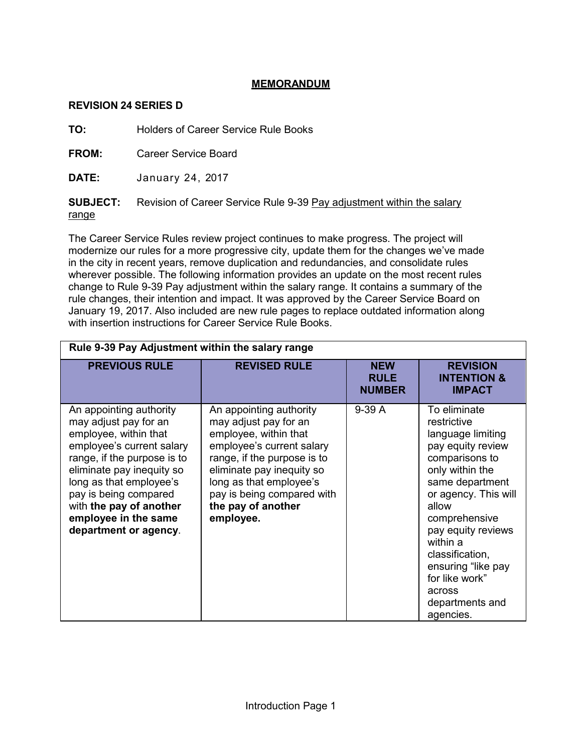## **MEMORANDUM**

## **REVISION 24 SERIES D**

**TO:** Holders of Career Service Rule Books

**FROM:** Career Service Board

**DATE:** January 24, 2017

**SUBJECT:** Revision of Career Service Rule 9-39 Pay adjustment within the salary range

The Career Service Rules review project continues to make progress. The project will modernize our rules for a more progressive city, update them for the changes we've made in the city in recent years, remove duplication and redundancies, and consolidate rules wherever possible. The following information provides an update on the most recent rules change to Rule 9-39 Pay adjustment within the salary range. It contains a summary of the rule changes, their intention and impact. It was approved by the Career Service Board on January 19, 2017. Also included are new rule pages to replace outdated information along with insertion instructions for Career Service Rule Books.

| Rule 9-39 Pay Adjustment within the salary range                                                                                                                                                                                                                                                   |                                                                                                                                                                                                                                                                |                                            |                                                                                                                                                                                                                                                                                                                        |
|----------------------------------------------------------------------------------------------------------------------------------------------------------------------------------------------------------------------------------------------------------------------------------------------------|----------------------------------------------------------------------------------------------------------------------------------------------------------------------------------------------------------------------------------------------------------------|--------------------------------------------|------------------------------------------------------------------------------------------------------------------------------------------------------------------------------------------------------------------------------------------------------------------------------------------------------------------------|
| <b>PREVIOUS RULE</b>                                                                                                                                                                                                                                                                               | <b>REVISED RULE</b>                                                                                                                                                                                                                                            | <b>NEW</b><br><b>RULE</b><br><b>NUMBER</b> | <b>REVISION</b><br><b>INTENTION &amp;</b><br><b>IMPACT</b>                                                                                                                                                                                                                                                             |
| An appointing authority<br>may adjust pay for an<br>employee, within that<br>employee's current salary<br>range, if the purpose is to<br>eliminate pay inequity so<br>long as that employee's<br>pay is being compared<br>with the pay of another<br>employee in the same<br>department or agency. | An appointing authority<br>may adjust pay for an<br>employee, within that<br>employee's current salary<br>range, if the purpose is to<br>eliminate pay inequity so<br>long as that employee's<br>pay is being compared with<br>the pay of another<br>employee. | $9-39A$                                    | To eliminate<br>restrictive<br>language limiting<br>pay equity review<br>comparisons to<br>only within the<br>same department<br>or agency. This will<br>allow<br>comprehensive<br>pay equity reviews<br>within a<br>classification,<br>ensuring "like pay<br>for like work"<br>across<br>departments and<br>agencies. |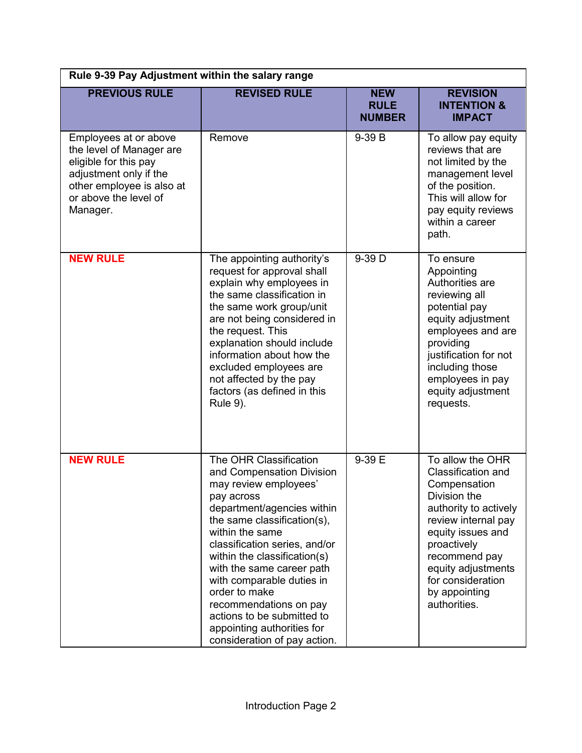| Rule 9-39 Pay Adjustment within the salary range                                                                                                                       |                                                                                                                                                                                                                                                                                                                                                                                                                                              |                                            |                                                                                                                                                                                                                                                         |
|------------------------------------------------------------------------------------------------------------------------------------------------------------------------|----------------------------------------------------------------------------------------------------------------------------------------------------------------------------------------------------------------------------------------------------------------------------------------------------------------------------------------------------------------------------------------------------------------------------------------------|--------------------------------------------|---------------------------------------------------------------------------------------------------------------------------------------------------------------------------------------------------------------------------------------------------------|
| <b>PREVIOUS RULE</b>                                                                                                                                                   | <b>REVISED RULE</b>                                                                                                                                                                                                                                                                                                                                                                                                                          | <b>NEW</b><br><b>RULE</b><br><b>NUMBER</b> | <b>REVISION</b><br><b>INTENTION &amp;</b><br><b>IMPACT</b>                                                                                                                                                                                              |
| Employees at or above<br>the level of Manager are<br>eligible for this pay<br>adjustment only if the<br>other employee is also at<br>or above the level of<br>Manager. | Remove                                                                                                                                                                                                                                                                                                                                                                                                                                       | 9-39 B                                     | To allow pay equity<br>reviews that are<br>not limited by the<br>management level<br>of the position.<br>This will allow for<br>pay equity reviews<br>within a career<br>path.                                                                          |
| <b>NEW RULE</b>                                                                                                                                                        | The appointing authority's<br>request for approval shall<br>explain why employees in<br>the same classification in<br>the same work group/unit<br>are not being considered in<br>the request. This<br>explanation should include<br>information about how the<br>excluded employees are<br>not affected by the pay<br>factors (as defined in this<br><b>Rule 9).</b>                                                                         | 9-39 D                                     | To ensure<br>Appointing<br>Authorities are<br>reviewing all<br>potential pay<br>equity adjustment<br>employees and are<br>providing<br>justification for not<br>including those<br>employees in pay<br>equity adjustment<br>requests.                   |
| <b>NEW RULE</b>                                                                                                                                                        | The OHR Classification<br>and Compensation Division<br>may review employees'<br>pay across<br>department/agencies within<br>the same classification(s),<br>within the same<br>classification series, and/or<br>within the classification(s)<br>with the same career path<br>with comparable duties in<br>order to make<br>recommendations on pay<br>actions to be submitted to<br>appointing authorities for<br>consideration of pay action. | 9-39 E                                     | To allow the OHR<br>Classification and<br>Compensation<br>Division the<br>authority to actively<br>review internal pay<br>equity issues and<br>proactively<br>recommend pay<br>equity adjustments<br>for consideration<br>by appointing<br>authorities. |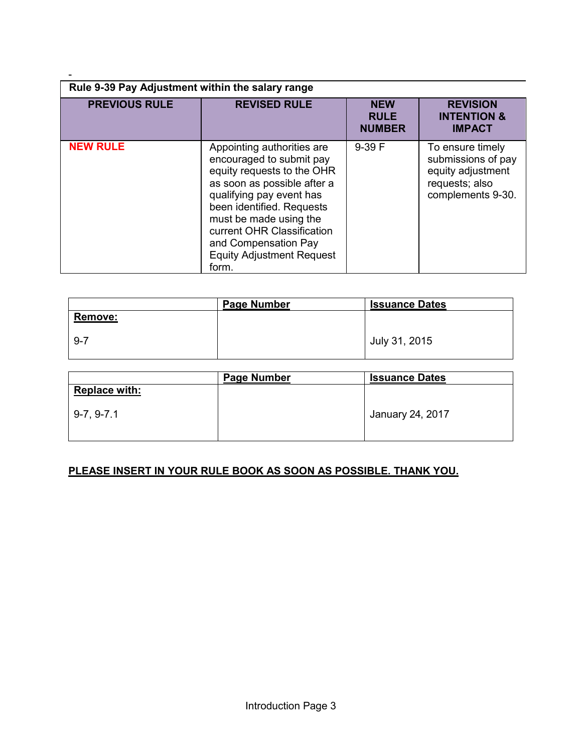| Rule 9-39 Pay Adjustment within the salary range |                                                                                                                                                                                                                                                                                                           |                                            |                                                                                                    |
|--------------------------------------------------|-----------------------------------------------------------------------------------------------------------------------------------------------------------------------------------------------------------------------------------------------------------------------------------------------------------|--------------------------------------------|----------------------------------------------------------------------------------------------------|
| <b>PREVIOUS RULE</b>                             | <b>REVISED RULE</b>                                                                                                                                                                                                                                                                                       | <b>NEW</b><br><b>RULE</b><br><b>NUMBER</b> | <b>REVISION</b><br><b>INTENTION &amp;</b><br><b>IMPACT</b>                                         |
| <b>NEW RULE</b>                                  | Appointing authorities are<br>encouraged to submit pay<br>equity requests to the OHR<br>as soon as possible after a<br>qualifying pay event has<br>been identified. Requests<br>must be made using the<br>current OHR Classification<br>and Compensation Pay<br><b>Equity Adjustment Request</b><br>form. | 9-39 F                                     | To ensure timely<br>submissions of pay<br>equity adjustment<br>requests; also<br>complements 9-30. |

-

|                | Page Number | <b>Issuance Dates</b> |
|----------------|-------------|-----------------------|
| <b>Remove:</b> |             |                       |
| $9 - 7$        |             | July 31, 2015         |

|                      | <b>Page Number</b> | <b>Issuance Dates</b> |
|----------------------|--------------------|-----------------------|
| <b>Replace with:</b> |                    |                       |
| $9-7, 9-7.1$         |                    | January 24, 2017      |

## **PLEASE INSERT IN YOUR RULE BOOK AS SOON AS POSSIBLE. THANK YOU.**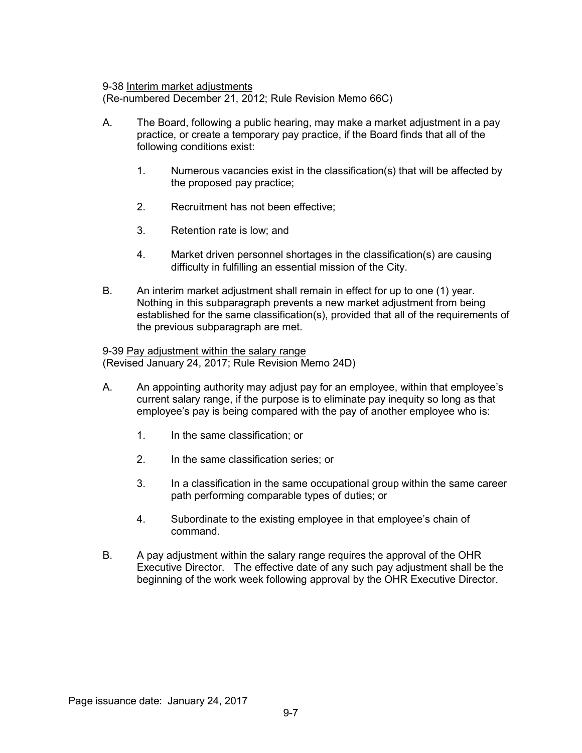9-38 Interim market adjustments

(Re-numbered December 21, 2012; Rule Revision Memo 66C)

- A. The Board, following a public hearing, may make a market adjustment in a pay practice, or create a temporary pay practice, if the Board finds that all of the following conditions exist:
	- 1. Numerous vacancies exist in the classification(s) that will be affected by the proposed pay practice;
	- 2. Recruitment has not been effective;
	- 3. Retention rate is low; and
	- 4. Market driven personnel shortages in the classification(s) are causing difficulty in fulfilling an essential mission of the City.
- B. An interim market adjustment shall remain in effect for up to one (1) year. Nothing in this subparagraph prevents a new market adjustment from being established for the same classification(s), provided that all of the requirements of the previous subparagraph are met.

9-39 Pay adjustment within the salary range (Revised January 24, 2017; Rule Revision Memo 24D)

- A. An appointing authority may adjust pay for an employee, within that employee's current salary range, if the purpose is to eliminate pay inequity so long as that employee's pay is being compared with the pay of another employee who is:
	- 1. In the same classification; or
	- 2. In the same classification series; or
	- 3. In a classification in the same occupational group within the same career path performing comparable types of duties; or
	- 4. Subordinate to the existing employee in that employee's chain of command.
- B. A pay adjustment within the salary range requires the approval of the OHR Executive Director. The effective date of any such pay adjustment shall be the beginning of the work week following approval by the OHR Executive Director.